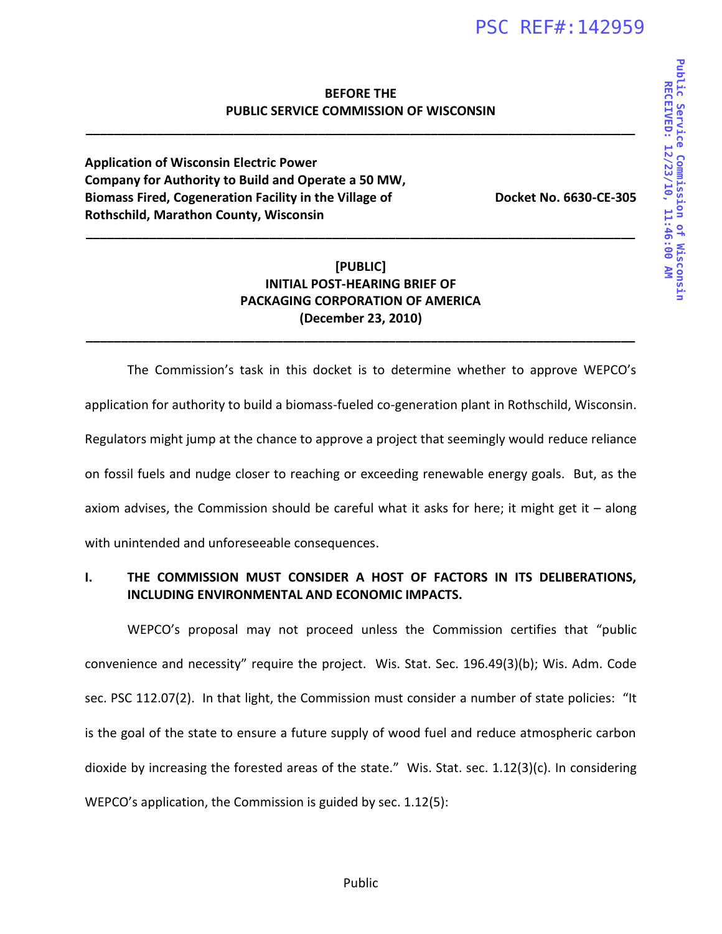# **BEFORE THE PUBLIC SERVICE COMMISSION OF WISCONSIN**

**\_\_\_\_\_\_\_\_\_\_\_\_\_\_\_\_\_\_\_\_\_\_\_\_\_\_\_\_\_\_\_\_\_\_\_\_\_\_\_\_\_\_\_\_\_\_\_\_\_\_\_\_\_\_\_\_\_\_\_\_\_\_\_\_\_\_\_\_\_\_\_\_\_\_\_\_\_\_** 

**Application of Wisconsin Electric Power Company for Authority to Build and Operate a 50 MW, Biomass Fired, Cogeneration Facility in the Village of Rothschild, Marathon County, Wisconsin**

**Docket No. 6630-CE-305**

# **[PUBLIC] INITIAL POST-HEARING BRIEF OF PACKAGING CORPORATION OF AMERICA (December 23, 2010)**

**\_\_\_\_\_\_\_\_\_\_\_\_\_\_\_\_\_\_\_\_\_\_\_\_\_\_\_\_\_\_\_\_\_\_\_\_\_\_\_\_\_\_\_\_\_\_\_\_\_\_\_\_\_\_\_\_\_\_\_\_\_\_\_\_\_\_\_\_\_\_\_\_\_\_\_\_\_\_** 

**\_\_\_\_\_\_\_\_\_\_\_\_\_\_\_\_\_\_\_\_\_\_\_\_\_\_\_\_\_\_\_\_\_\_\_\_\_\_\_\_\_\_\_\_\_\_\_\_\_\_\_\_\_\_\_\_\_\_\_\_\_\_\_\_\_\_\_\_\_\_\_\_\_\_\_\_\_\_** 

The Commission's task in this docket is to determine whether to approve WEPCO's application for authority to build a biomass-fueled co-generation plant in Rothschild, Wisconsin. Regulators might jump at the chance to approve a project that seemingly would reduce reliance on fossil fuels and nudge closer to reaching or exceeding renewable energy goals. But, as the axiom advises, the Commission should be careful what it asks for here; it might get it  $-$  along with unintended and unforeseeable consequences.

# **I. THE COMMISSION MUST CONSIDER A HOST OF FACTORS IN ITS DELIBERATIONS, INCLUDING ENVIRONMENTAL AND ECONOMIC IMPACTS.**

WEPCO's proposal may not proceed unless the Commission certifies that "public convenience and necessity" require the project. Wis. Stat. Sec. 196.49(3)(b); Wis. Adm. Code sec. PSC 112.07(2). In that light, the Commission must consider a number of state policies: "It is the goal of the state to ensure a future supply of wood fuel and reduce atmospheric carbon dioxide by increasing the forested areas of the state." Wis. Stat. sec. 1.12(3)(c). In considering WEPCO's application, the Commission is guided by sec. 1.12(5):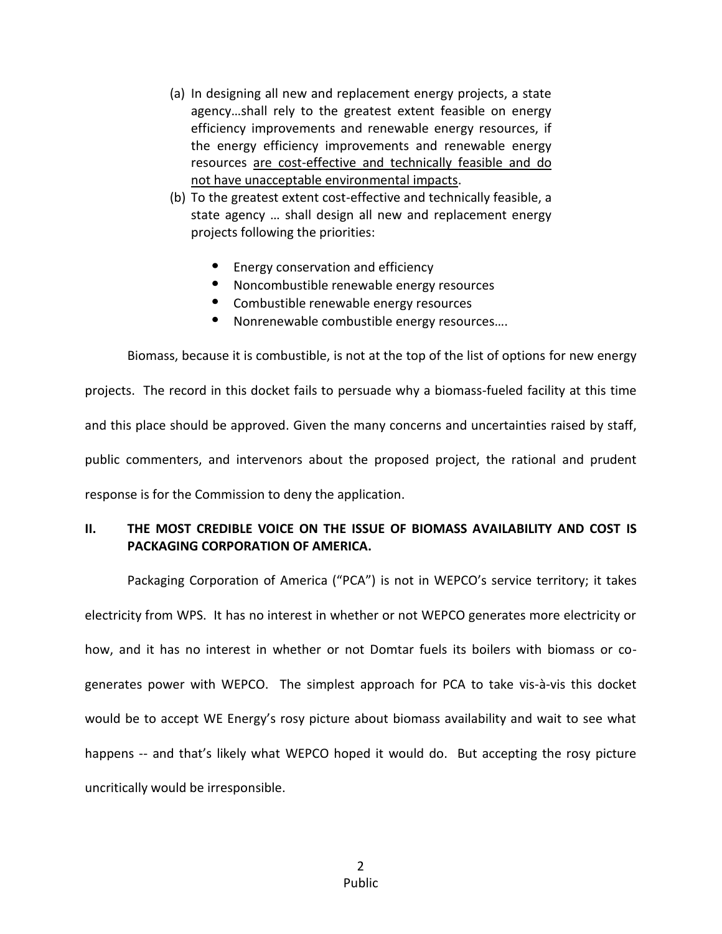- (a) In designing all new and replacement energy projects, a state agency…shall rely to the greatest extent feasible on energy efficiency improvements and renewable energy resources, if the energy efficiency improvements and renewable energy resources are cost-effective and technically feasible and do not have unacceptable environmental impacts.
- (b) To the greatest extent cost-effective and technically feasible, a state agency … shall design all new and replacement energy projects following the priorities:
	- Energy conservation and efficiency
	- Noncombustible renewable energy resources
	- Combustible renewable energy resources
	- Nonrenewable combustible energy resources….

Biomass, because it is combustible, is not at the top of the list of options for new energy projects. The record in this docket fails to persuade why a biomass-fueled facility at this time and this place should be approved. Given the many concerns and uncertainties raised by staff, public commenters, and intervenors about the proposed project, the rational and prudent response is for the Commission to deny the application.

# **II. THE MOST CREDIBLE VOICE ON THE ISSUE OF BIOMASS AVAILABILITY AND COST IS PACKAGING CORPORATION OF AMERICA.**

Packaging Corporation of America ("PCA") is not in WEPCO's service territory; it takes electricity from WPS. It has no interest in whether or not WEPCO generates more electricity or how, and it has no interest in whether or not Domtar fuels its boilers with biomass or cogenerates power with WEPCO. The simplest approach for PCA to take vis-à-vis this docket would be to accept WE Energy's rosy picture about biomass availability and wait to see what happens -- and that's likely what WEPCO hoped it would do. But accepting the rosy picture uncritically would be irresponsible.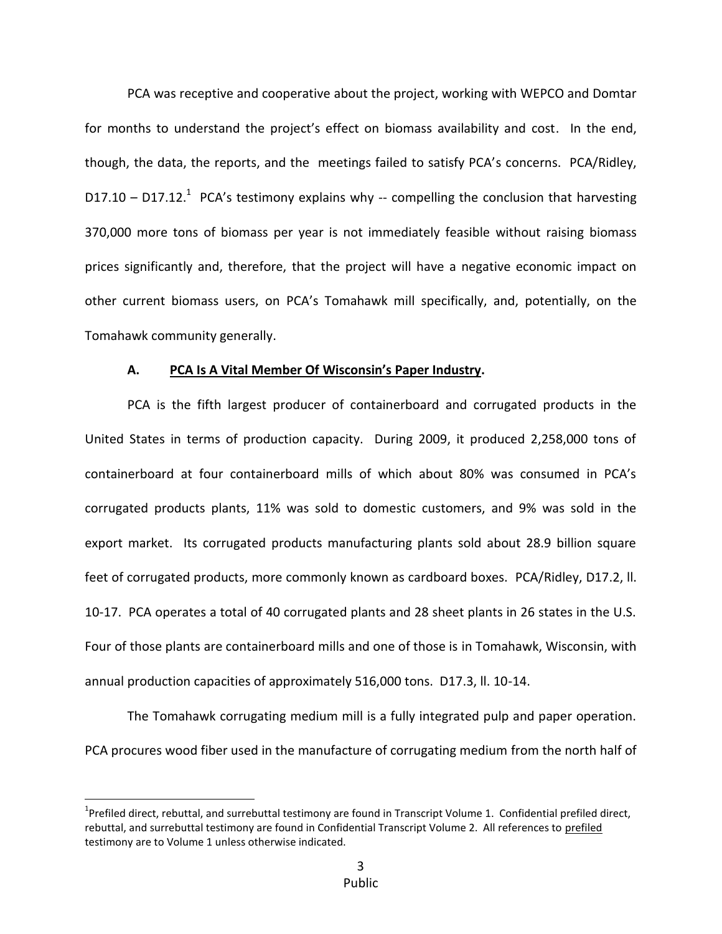PCA was receptive and cooperative about the project, working with WEPCO and Domtar for months to understand the project's effect on biomass availability and cost. In the end, though, the data, the reports, and the meetings failed to satisfy PCA's concerns. PCA/Ridley, D17.10 – D17.12.<sup>1</sup> PCA's testimony explains why -- compelling the conclusion that harvesting 370,000 more tons of biomass per year is not immediately feasible without raising biomass prices significantly and, therefore, that the project will have a negative economic impact on other current biomass users, on PCA's Tomahawk mill specifically, and, potentially, on the Tomahawk community generally.

#### **A. PCA Is A Vital Member Of Wisconsin's Paper Industry.**

PCA is the fifth largest producer of containerboard and corrugated products in the United States in terms of production capacity. During 2009, it produced 2,258,000 tons of containerboard at four containerboard mills of which about 80% was consumed in PCA's corrugated products plants, 11% was sold to domestic customers, and 9% was sold in the export market. Its corrugated products manufacturing plants sold about 28.9 billion square feet of corrugated products, more commonly known as cardboard boxes. PCA/Ridley, D17.2, ll. 10-17. PCA operates a total of 40 corrugated plants and 28 sheet plants in 26 states in the U.S. Four of those plants are containerboard mills and one of those is in Tomahawk, Wisconsin, with annual production capacities of approximately 516,000 tons. D17.3, ll. 10-14.

The Tomahawk corrugating medium mill is a fully integrated pulp and paper operation. PCA procures wood fiber used in the manufacture of corrugating medium from the north half of

 $\overline{a}$ 

<sup>&</sup>lt;sup>1</sup>Prefiled direct, rebuttal, and surrebuttal testimony are found in Transcript Volume 1. Confidential prefiled direct, rebuttal, and surrebuttal testimony are found in Confidential Transcript Volume 2. All references to prefiled testimony are to Volume 1 unless otherwise indicated.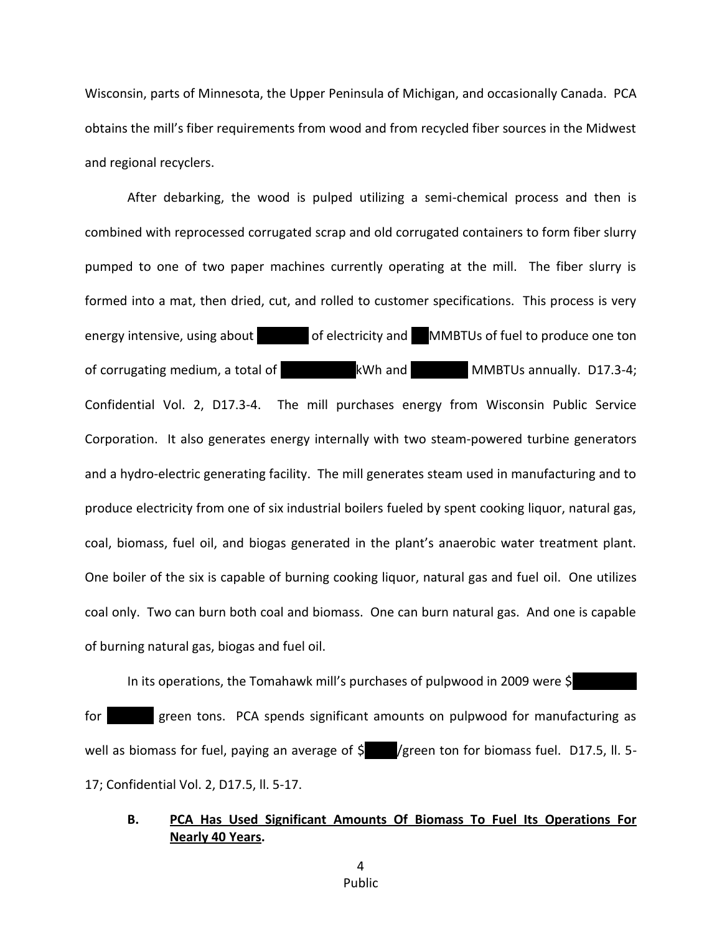Wisconsin, parts of Minnesota, the Upper Peninsula of Michigan, and occasionally Canada. PCA obtains the mill's fiber requirements from wood and from recycled fiber sources in the Midwest and regional recyclers.

After debarking, the wood is pulped utilizing a semi-chemical process and then is combined with reprocessed corrugated scrap and old corrugated containers to form fiber slurry pumped to one of two paper machines currently operating at the mill. The fiber slurry is formed into a mat, then dried, cut, and rolled to customer specifications. This process is very energy intensive, using about **630 cm of electricity and 11 MMBTUs of fuel to produce one ton** of corrugating medium, a total of 325 kWh and 325 MMBTUs annually. D17.3-4; Confidential Vol. 2, D17.3-4. The mill purchases energy from Wisconsin Public Service Corporation. It also generates energy internally with two steam-powered turbine generators and a hydro-electric generating facility. The mill generates steam used in manufacturing and to produce electricity from one of six industrial boilers fueled by spent cooking liquor, natural gas, coal, biomass, fuel oil, and biogas generated in the plant's anaerobic water treatment plant. One boiler of the six is capable of burning cooking liquor, natural gas and fuel oil. One utilizes coal only. Two can burn both coal and biomass. One can burn natural gas. And one is capable of burning natural gas, biogas and fuel oil.

In its operations, the Tomahawk mill's purchases of pulpwood in 2009 were  $\frac{1}{2}$ 

for **134.000** green tons. PCA spends significant amounts on pulpwood for manufacturing as well as biomass for fuel, paying an average of  $\frac{1}{5}$  /green ton for biomass fuel. D17.5, ll. 5-17; Confidential Vol. 2, D17.5, ll. 5-17.

## **B. PCA Has Used Significant Amounts Of Biomass To Fuel Its Operations For Nearly 40 Years.**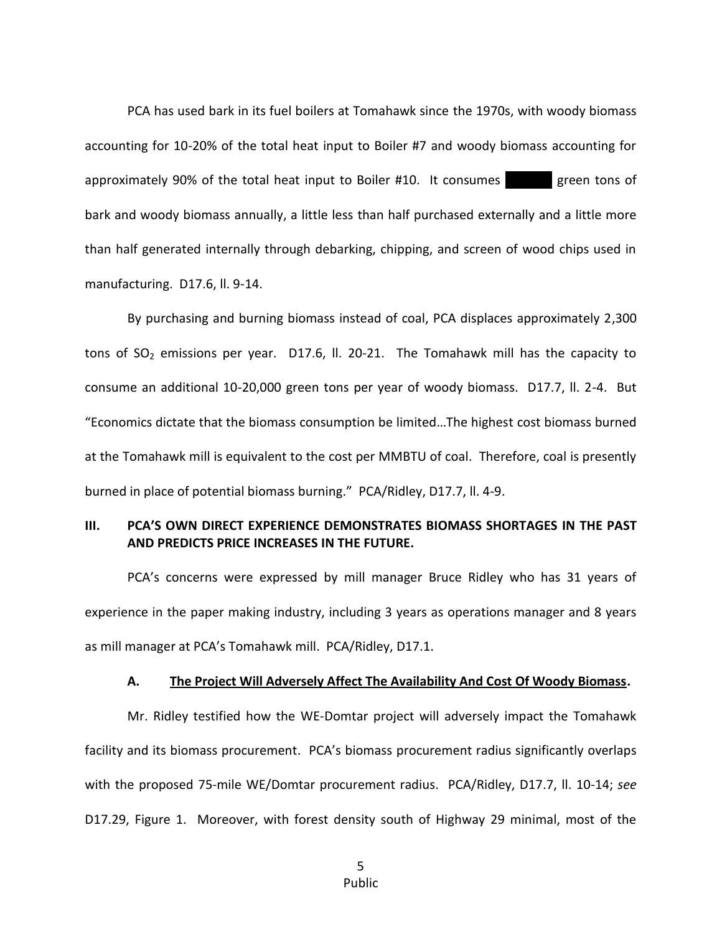PCA has used bark in its fuel boilers at Tomahawk since the 1970s, with woody biomass accounting for 10-20% of the total heat input to Boiler #7 and woody biomass accounting for approximately 90% of the total heat input to Boiler  $\#10$ . It consumes  $\qquad \qquad$  green tons of bark and woody biomass annually, a little less than half purchased externally and a little more than half generated internally through debarking, chipping, and screen of wood chips used in manufacturing. D17.6, ll. 9-14.

By purchasing and burning biomass instead of coal, PCA displaces approximately 2,300 tons of  $SO_2$  emissions per year. D17.6, ll. 20-21. The Tomahawk mill has the capacity to consume an additional 10-20,000 green tons per year of woody biomass. D17.7, ll. 2-4. But "Economics dictate that the biomass consumption be limited…The highest cost biomass burned at the Tomahawk mill is equivalent to the cost per MMBTU of coal. Therefore, coal is presently burned in place of potential biomass burning." PCA/Ridley, D17.7, ll. 4-9.

### **III. PCA'S OWN DIRECT EXPERIENCE DEMONSTRATES BIOMASS SHORTAGES IN THE PAST AND PREDICTS PRICE INCREASES IN THE FUTURE.**

PCA's concerns were expressed by mill manager Bruce Ridley who has 31 years of experience in the paper making industry, including 3 years as operations manager and 8 years as mill manager at PCA's Tomahawk mill. PCA/Ridley, D17.1.

#### **A. The Project Will Adversely Affect The Availability And Cost Of Woody Biomass.**

Mr. Ridley testified how the WE-Domtar project will adversely impact the Tomahawk facility and its biomass procurement. PCA's biomass procurement radius significantly overlaps with the proposed 75-mile WE/Domtar procurement radius. PCA/Ridley, D17.7, ll. 10-14; *see*  D17.29, Figure 1. Moreover, with forest density south of Highway 29 minimal, most of the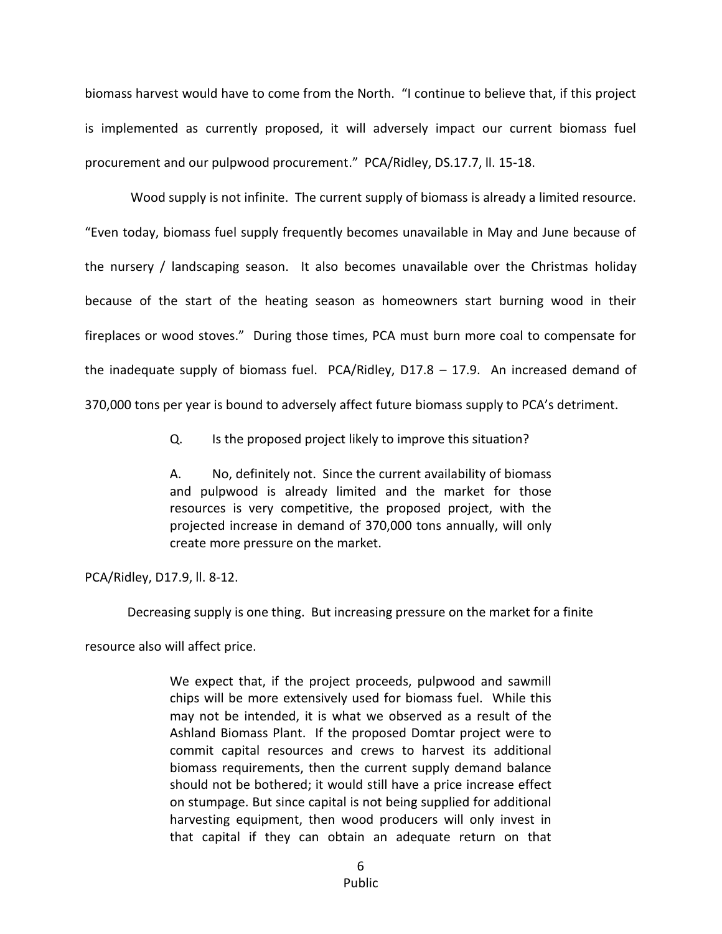biomass harvest would have to come from the North. "I continue to believe that, if this project is implemented as currently proposed, it will adversely impact our current biomass fuel procurement and our pulpwood procurement." PCA/Ridley, DS.17.7, ll. 15-18.

Wood supply is not infinite. The current supply of biomass is already a limited resource. "Even today, biomass fuel supply frequently becomes unavailable in May and June because of the nursery / landscaping season. It also becomes unavailable over the Christmas holiday because of the start of the heating season as homeowners start burning wood in their fireplaces or wood stoves." During those times, PCA must burn more coal to compensate for the inadequate supply of biomass fuel. PCA/Ridley,  $D17.8 - 17.9$ . An increased demand of 370,000 tons per year is bound to adversely affect future biomass supply to PCA's detriment.

Q. Is the proposed project likely to improve this situation?

A. No, definitely not. Since the current availability of biomass and pulpwood is already limited and the market for those resources is very competitive, the proposed project, with the projected increase in demand of 370,000 tons annually, will only create more pressure on the market.

PCA/Ridley, D17.9, ll. 8-12.

Decreasing supply is one thing. But increasing pressure on the market for a finite

resource also will affect price.

We expect that, if the project proceeds, pulpwood and sawmill chips will be more extensively used for biomass fuel. While this may not be intended, it is what we observed as a result of the Ashland Biomass Plant. If the proposed Domtar project were to commit capital resources and crews to harvest its additional biomass requirements, then the current supply demand balance should not be bothered; it would still have a price increase effect on stumpage. But since capital is not being supplied for additional harvesting equipment, then wood producers will only invest in that capital if they can obtain an adequate return on that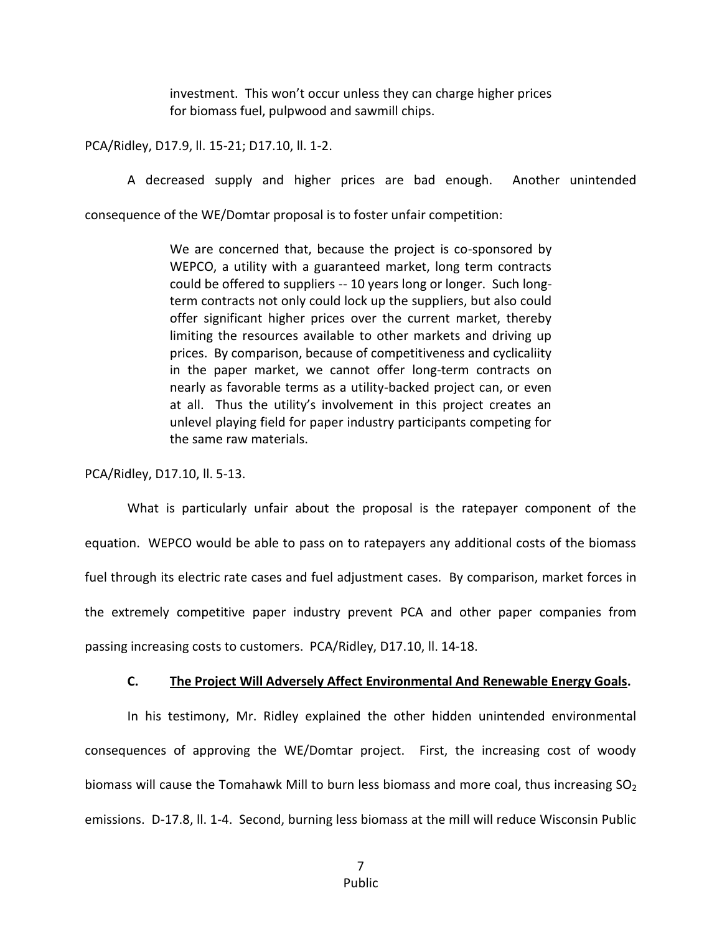investment. This won't occur unless they can charge higher prices for biomass fuel, pulpwood and sawmill chips.

PCA/Ridley, D17.9, ll. 15-21; D17.10, ll. 1-2.

A decreased supply and higher prices are bad enough. Another unintended

consequence of the WE/Domtar proposal is to foster unfair competition:

We are concerned that, because the project is co-sponsored by WEPCO, a utility with a guaranteed market, long term contracts could be offered to suppliers -- 10 years long or longer. Such longterm contracts not only could lock up the suppliers, but also could offer significant higher prices over the current market, thereby limiting the resources available to other markets and driving up prices. By comparison, because of competitiveness and cyclicaliity in the paper market, we cannot offer long-term contracts on nearly as favorable terms as a utility-backed project can, or even at all. Thus the utility's involvement in this project creates an unlevel playing field for paper industry participants competing for the same raw materials.

PCA/Ridley, D17.10, ll. 5-13.

What is particularly unfair about the proposal is the ratepayer component of the equation. WEPCO would be able to pass on to ratepayers any additional costs of the biomass fuel through its electric rate cases and fuel adjustment cases. By comparison, market forces in the extremely competitive paper industry prevent PCA and other paper companies from passing increasing costs to customers. PCA/Ridley, D17.10, ll. 14-18.

### **C. The Project Will Adversely Affect Environmental And Renewable Energy Goals.**

In his testimony, Mr. Ridley explained the other hidden unintended environmental consequences of approving the WE/Domtar project. First, the increasing cost of woody biomass will cause the Tomahawk Mill to burn less biomass and more coal, thus increasing  $SO<sub>2</sub>$ emissions. D-17.8, ll. 1-4. Second, burning less biomass at the mill will reduce Wisconsin Public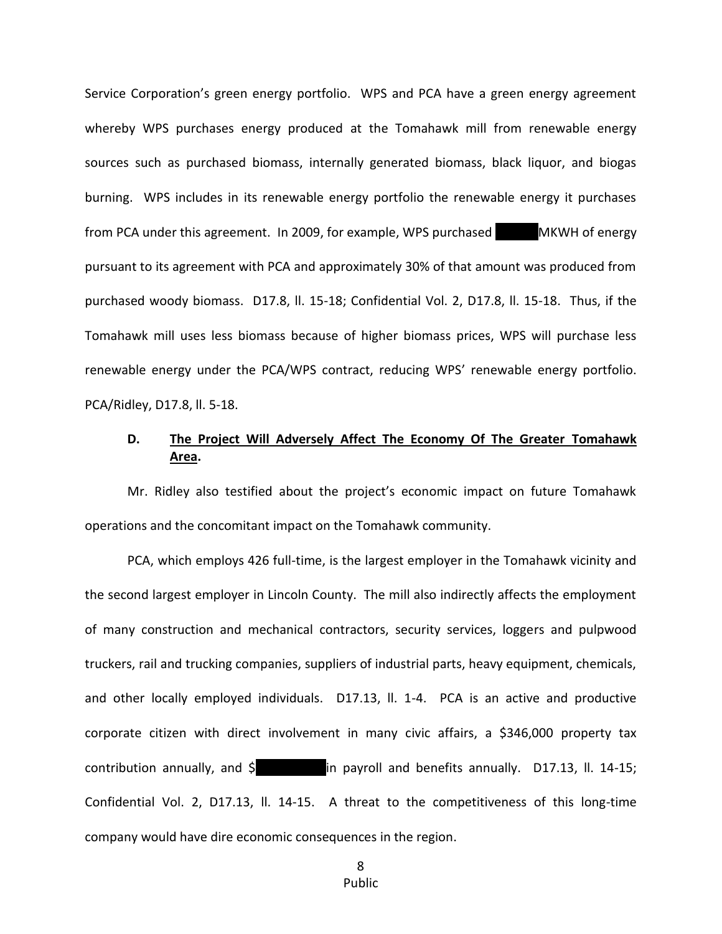Service Corporation's green energy portfolio. WPS and PCA have a green energy agreement whereby WPS purchases energy produced at the Tomahawk mill from renewable energy sources such as purchased biomass, internally generated biomass, black liquor, and biogas burning. WPS includes in its renewable energy portfolio the renewable energy it purchases from PCA under this agreement. In 2009, for example, WPS purchased MKWH of energy pursuant to its agreement with PCA and approximately 30% of that amount was produced from purchased woody biomass. D17.8, ll. 15-18; Confidential Vol. 2, D17.8, ll. 15-18. Thus, if the Tomahawk mill uses less biomass because of higher biomass prices, WPS will purchase less renewable energy under the PCA/WPS contract, reducing WPS' renewable energy portfolio. PCA/Ridley, D17.8, ll. 5-18.

## **D. The Project Will Adversely Affect The Economy Of The Greater Tomahawk Area.**

Mr. Ridley also testified about the project's economic impact on future Tomahawk operations and the concomitant impact on the Tomahawk community.

PCA, which employs 426 full-time, is the largest employer in the Tomahawk vicinity and the second largest employer in Lincoln County. The mill also indirectly affects the employment of many construction and mechanical contractors, security services, loggers and pulpwood truckers, rail and trucking companies, suppliers of industrial parts, heavy equipment, chemicals, and other locally employed individuals. D17.13, ll. 1-4. PCA is an active and productive corporate citizen with direct involvement in many civic affairs, a \$346,000 property tax contribution annually, and  $\sin$  payroll and benefits annually. D17.13, ll. 14-15; Confidential Vol. 2, D17.13, ll. 14-15. A threat to the competitiveness of this long-time company would have dire economic consequences in the region.

8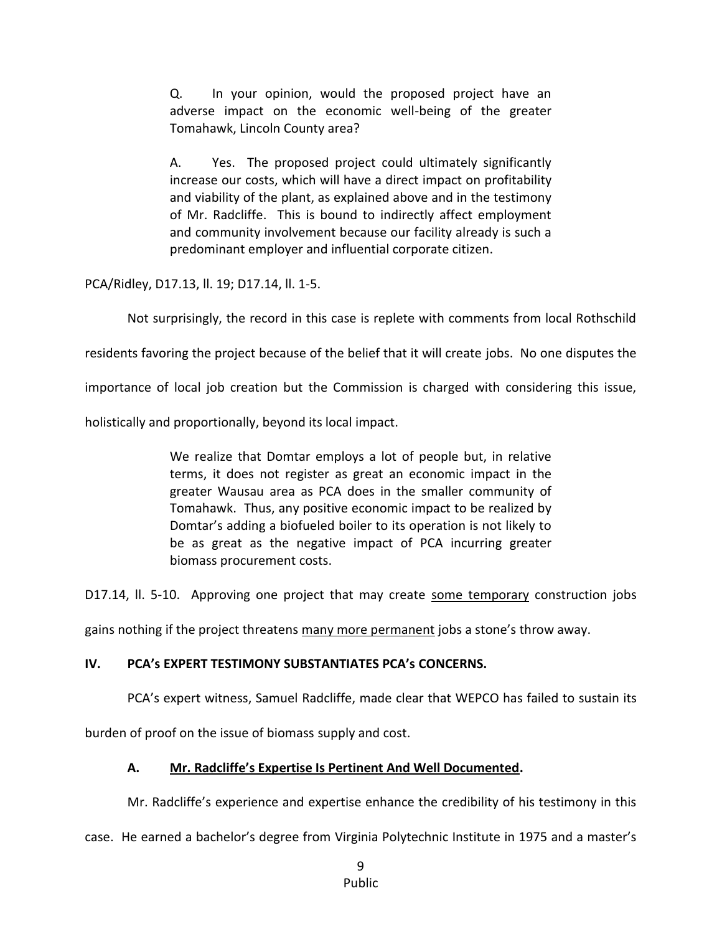Q. In your opinion, would the proposed project have an adverse impact on the economic well-being of the greater Tomahawk, Lincoln County area?

A. Yes. The proposed project could ultimately significantly increase our costs, which will have a direct impact on profitability and viability of the plant, as explained above and in the testimony of Mr. Radcliffe. This is bound to indirectly affect employment and community involvement because our facility already is such a predominant employer and influential corporate citizen.

PCA/Ridley, D17.13, ll. 19; D17.14, ll. 1-5.

Not surprisingly, the record in this case is replete with comments from local Rothschild

residents favoring the project because of the belief that it will create jobs. No one disputes the

importance of local job creation but the Commission is charged with considering this issue,

holistically and proportionally, beyond its local impact.

We realize that Domtar employs a lot of people but, in relative terms, it does not register as great an economic impact in the greater Wausau area as PCA does in the smaller community of Tomahawk. Thus, any positive economic impact to be realized by Domtar's adding a biofueled boiler to its operation is not likely to be as great as the negative impact of PCA incurring greater biomass procurement costs.

D17.14, II. 5-10. Approving one project that may create some temporary construction jobs

gains nothing if the project threatens many more permanent jobs a stone's throw away.

### **IV. PCA's EXPERT TESTIMONY SUBSTANTIATES PCA's CONCERNS.**

PCA's expert witness, Samuel Radcliffe, made clear that WEPCO has failed to sustain its

burden of proof on the issue of biomass supply and cost.

# **A. Mr. Radcliffe's Expertise Is Pertinent And Well Documented.**

Mr. Radcliffe's experience and expertise enhance the credibility of his testimony in this

case. He earned a bachelor's degree from Virginia Polytechnic Institute in 1975 and a master's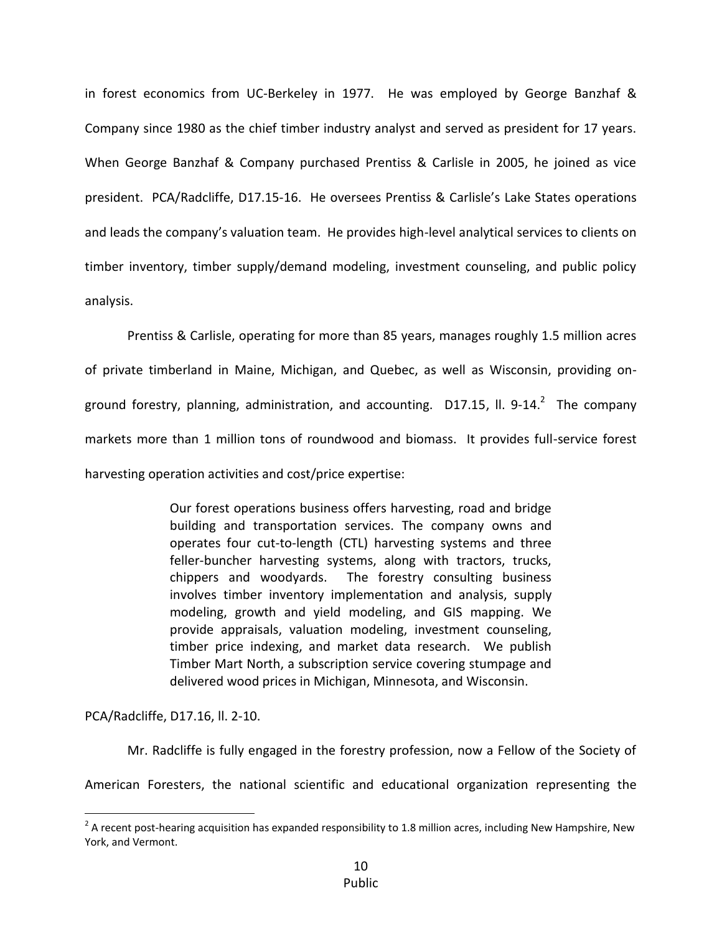in forest economics from UC-Berkeley in 1977. He was employed by George Banzhaf & Company since 1980 as the chief timber industry analyst and served as president for 17 years. When George Banzhaf & Company purchased Prentiss & Carlisle in 2005, he joined as vice president. PCA/Radcliffe, D17.15-16. He oversees Prentiss & Carlisle's Lake States operations and leads the company's valuation team. He provides high-level analytical services to clients on timber inventory, timber supply/demand modeling, investment counseling, and public policy analysis.

Prentiss & Carlisle, operating for more than 85 years, manages roughly 1.5 million acres of private timberland in Maine, Michigan, and Quebec, as well as Wisconsin, providing onground forestry, planning, administration, and accounting. D17.15, ll. 9-14.<sup>2</sup> The company markets more than 1 million tons of roundwood and biomass. It provides full-service forest harvesting operation activities and cost/price expertise:

> Our forest operations business offers harvesting, road and bridge building and transportation services. The company owns and operates four cut-to-length (CTL) harvesting systems and three feller-buncher harvesting systems, along with tractors, trucks, chippers and woodyards. The forestry consulting business involves timber inventory implementation and analysis, supply modeling, growth and yield modeling, and GIS mapping. We provide appraisals, valuation modeling, investment counseling, timber price indexing, and market data research. We publish Timber Mart North, a subscription service covering stumpage and delivered wood prices in Michigan, Minnesota, and Wisconsin.

PCA/Radcliffe, D17.16, ll. 2-10.

 $\overline{a}$ 

Mr. Radcliffe is fully engaged in the forestry profession, now a Fellow of the Society of

American Foresters, the national scientific and educational organization representing the

 $^2$  A recent post-hearing acquisition has expanded responsibility to 1.8 million acres, including New Hampshire, New York, and Vermont.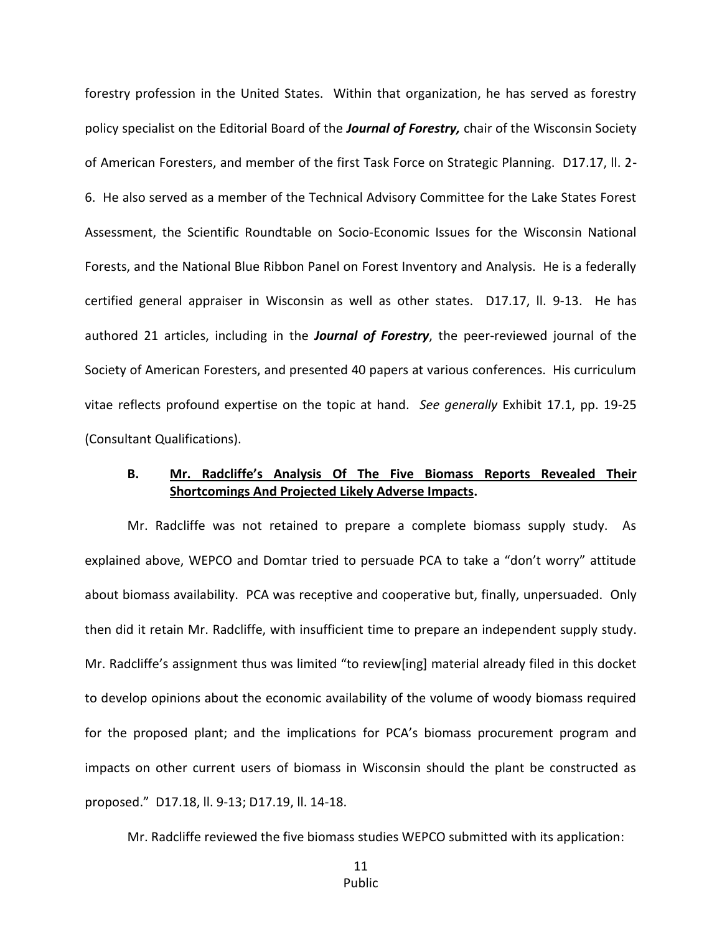forestry profession in the United States. Within that organization, he has served as forestry policy specialist on the Editorial Board of the *Journal of Forestry,* chair of the Wisconsin Society of American Foresters, and member of the first Task Force on Strategic Planning. D17.17, ll. 2- 6. He also served as a member of the Technical Advisory Committee for the Lake States Forest Assessment, the Scientific Roundtable on Socio-Economic Issues for the Wisconsin National Forests, and the National Blue Ribbon Panel on Forest Inventory and Analysis. He is a federally certified general appraiser in Wisconsin as well as other states. D17.17, ll. 9-13. He has authored 21 articles, including in the *Journal of Forestry*, the peer-reviewed journal of the Society of American Foresters, and presented 40 papers at various conferences. His curriculum vitae reflects profound expertise on the topic at hand. *See generally* Exhibit 17.1, pp. 19-25 (Consultant Qualifications).

## **B. Mr. Radcliffe's Analysis Of The Five Biomass Reports Revealed Their Shortcomings And Projected Likely Adverse Impacts.**

Mr. Radcliffe was not retained to prepare a complete biomass supply study. As explained above, WEPCO and Domtar tried to persuade PCA to take a "don't worry" attitude about biomass availability. PCA was receptive and cooperative but, finally, unpersuaded. Only then did it retain Mr. Radcliffe, with insufficient time to prepare an independent supply study. Mr. Radcliffe's assignment thus was limited "to review[ing] material already filed in this docket to develop opinions about the economic availability of the volume of woody biomass required for the proposed plant; and the implications for PCA's biomass procurement program and impacts on other current users of biomass in Wisconsin should the plant be constructed as proposed." D17.18, ll. 9-13; D17.19, ll. 14-18.

Mr. Radcliffe reviewed the five biomass studies WEPCO submitted with its application:

11 Public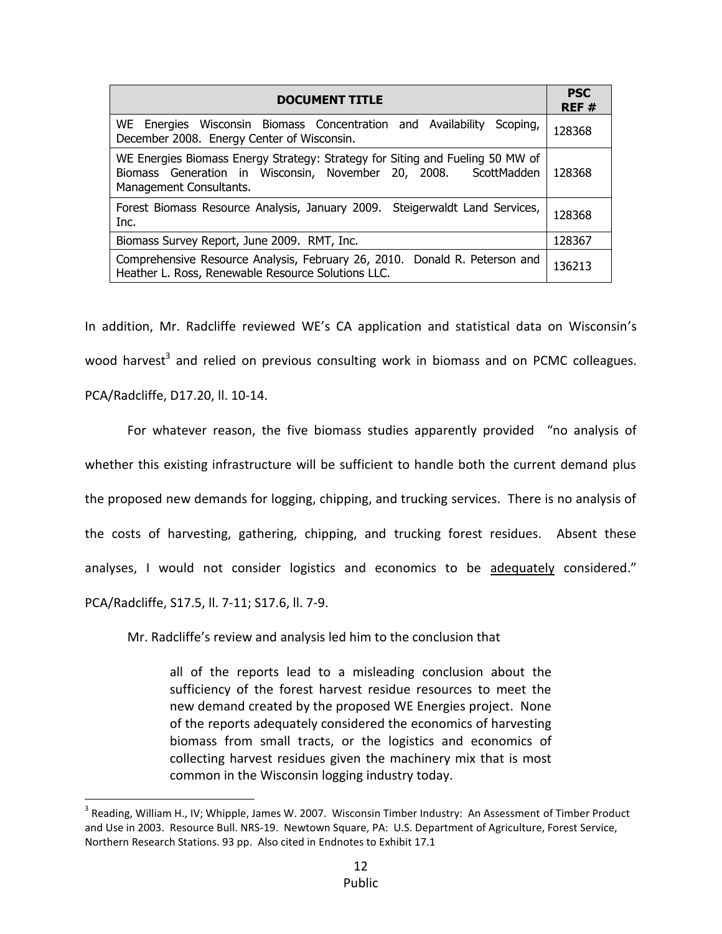| <b>DOCUMENT TITLE</b>                                                                                                                                                       | <b>PSC</b><br>REF# |
|-----------------------------------------------------------------------------------------------------------------------------------------------------------------------------|--------------------|
| WE<br>Energies Wisconsin Biomass Concentration and Availability<br>Scoping,<br>December 2008. Energy Center of Wisconsin.                                                   | 128368             |
| WE Energies Biomass Energy Strategy: Strategy for Siting and Fueling 50 MW of<br>Biomass Generation in Wisconsin, November 20, 2008. ScottMadden<br>Management Consultants. | 128368             |
| Forest Biomass Resource Analysis, January 2009. Steigerwaldt Land Services,<br>Inc.                                                                                         | 128368             |
| Biomass Survey Report, June 2009. RMT, Inc.                                                                                                                                 | 128367             |
| Comprehensive Resource Analysis, February 26, 2010. Donald R. Peterson and<br>Heather L. Ross, Renewable Resource Solutions LLC.                                            | 136213             |

In addition, Mr. Radcliffe reviewed WE's CA application and statistical data on Wisconsin's wood harvest<sup>3</sup> and relied on previous consulting work in biomass and on PCMC colleagues. PCA/Radcliffe, D17.20, ll. 10-14.

For whatever reason, the five biomass studies apparently provided "no analysis of whether this existing infrastructure will be sufficient to handle both the current demand plus the proposed new demands for logging, chipping, and trucking services. There is no analysis of the costs of harvesting, gathering, chipping, and trucking forest residues. Absent these analyses, I would not consider logistics and economics to be adequately considered." PCA/Radcliffe, S17.5, ll. 7-11; S17.6, ll. 7-9.

Mr. Radcliffe's review and analysis led him to the conclusion that

 $\overline{a}$ 

all of the reports lead to a misleading conclusion about the sufficiency of the forest harvest residue resources to meet the new demand created by the proposed WE Energies project. None of the reports adequately considered the economics of harvesting biomass from small tracts, or the logistics and economics of collecting harvest residues given the machinery mix that is most common in the Wisconsin logging industry today.

<sup>&</sup>lt;sup>3</sup> Reading, William H., IV; Whipple, James W. 2007. Wisconsin Timber Industry: An Assessment of Timber Product and Use in 2003. Resource Bull. NRS-19. Newtown Square, PA: U.S. Department of Agriculture, Forest Service, Northern Research Stations. 93 pp. Also cited in Endnotes to Exhibit 17.1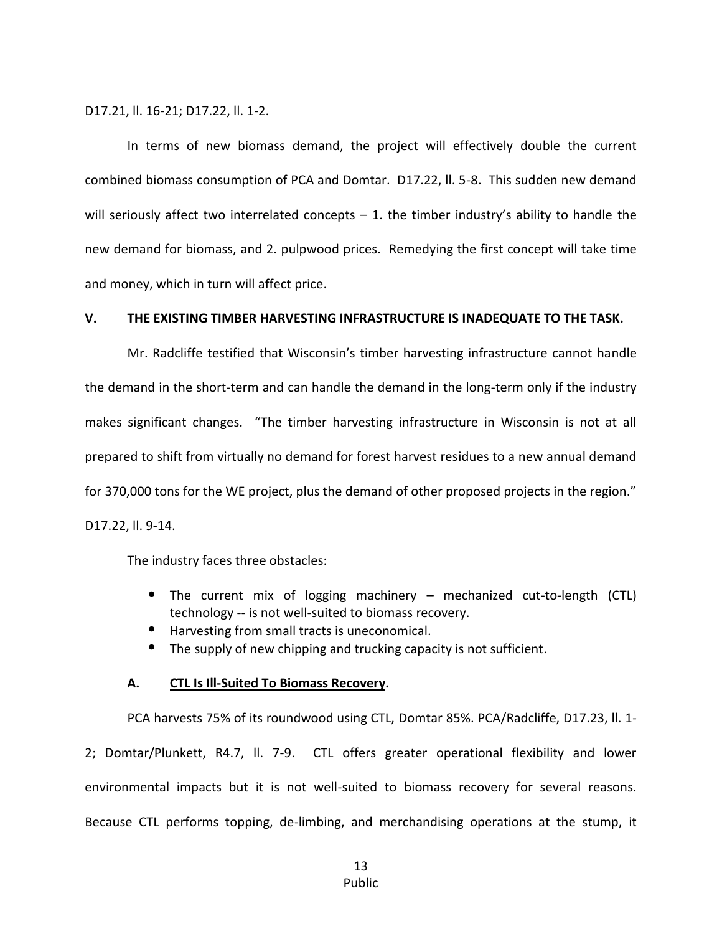D17.21, ll. 16-21; D17.22, ll. 1-2.

In terms of new biomass demand, the project will effectively double the current combined biomass consumption of PCA and Domtar. D17.22, ll. 5-8. This sudden new demand will seriously affect two interrelated concepts  $-1$ . the timber industry's ability to handle the new demand for biomass, and 2. pulpwood prices. Remedying the first concept will take time and money, which in turn will affect price.

#### **V. THE EXISTING TIMBER HARVESTING INFRASTRUCTURE IS INADEQUATE TO THE TASK.**

Mr. Radcliffe testified that Wisconsin's timber harvesting infrastructure cannot handle the demand in the short-term and can handle the demand in the long-term only if the industry makes significant changes. "The timber harvesting infrastructure in Wisconsin is not at all prepared to shift from virtually no demand for forest harvest residues to a new annual demand for 370,000 tons for the WE project, plus the demand of other proposed projects in the region." D17.22, ll. 9-14.

The industry faces three obstacles:

- The current mix of logging machinery mechanized cut-to-length (CTL) technology -- is not well-suited to biomass recovery.
- Harvesting from small tracts is uneconomical.
- The supply of new chipping and trucking capacity is not sufficient.

#### **A. CTL Is Ill-Suited To Biomass Recovery.**

PCA harvests 75% of its roundwood using CTL, Domtar 85%. PCA/Radcliffe, D17.23, ll. 1- 2; Domtar/Plunkett, R4.7, ll. 7-9. CTL offers greater operational flexibility and lower environmental impacts but it is not well-suited to biomass recovery for several reasons. Because CTL performs topping, de-limbing, and merchandising operations at the stump, it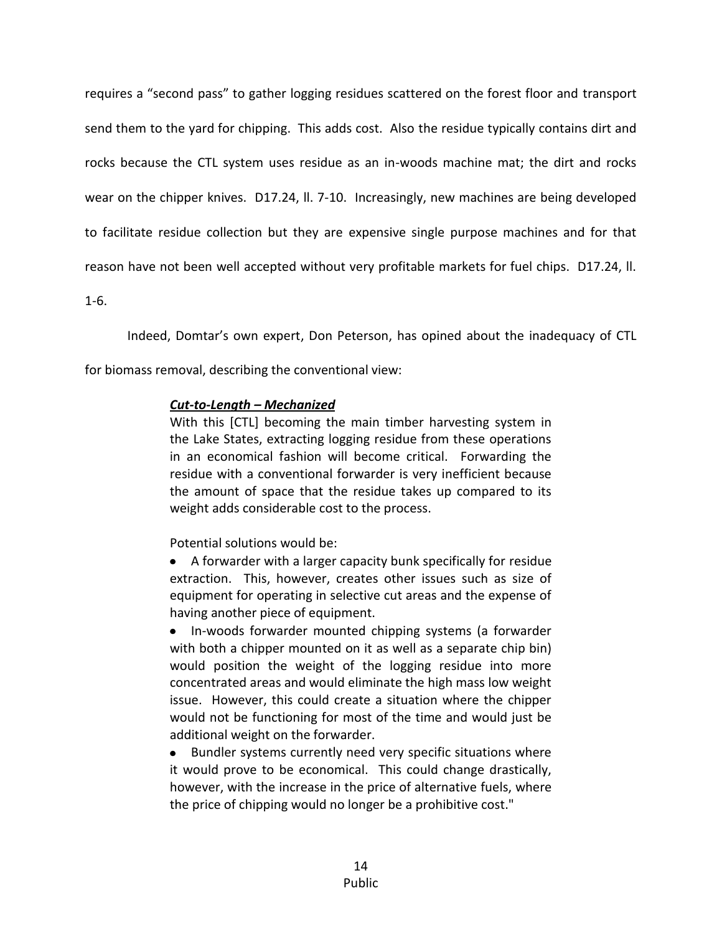requires a "second pass" to gather logging residues scattered on the forest floor and transport send them to the yard for chipping. This adds cost. Also the residue typically contains dirt and rocks because the CTL system uses residue as an in-woods machine mat; the dirt and rocks wear on the chipper knives. D17.24, ll. 7-10. Increasingly, new machines are being developed to facilitate residue collection but they are expensive single purpose machines and for that reason have not been well accepted without very profitable markets for fuel chips. D17.24, ll.

1-6.

Indeed, Domtar's own expert, Don Peterson, has opined about the inadequacy of CTL

for biomass removal, describing the conventional view:

## *Cut-to-Length – Mechanized*

With this [CTL] becoming the main timber harvesting system in the Lake States, extracting logging residue from these operations in an economical fashion will become critical. Forwarding the residue with a conventional forwarder is very inefficient because the amount of space that the residue takes up compared to its weight adds considerable cost to the process.

Potential solutions would be:

A forwarder with a larger capacity bunk specifically for residue extraction. This, however, creates other issues such as size of equipment for operating in selective cut areas and the expense of having another piece of equipment.

In-woods forwarder mounted chipping systems (a forwarder with both a chipper mounted on it as well as a separate chip bin) would position the weight of the logging residue into more concentrated areas and would eliminate the high mass low weight issue. However, this could create a situation where the chipper would not be functioning for most of the time and would just be additional weight on the forwarder.

Bundler systems currently need very specific situations where it would prove to be economical. This could change drastically, however, with the increase in the price of alternative fuels, where the price of chipping would no longer be a prohibitive cost."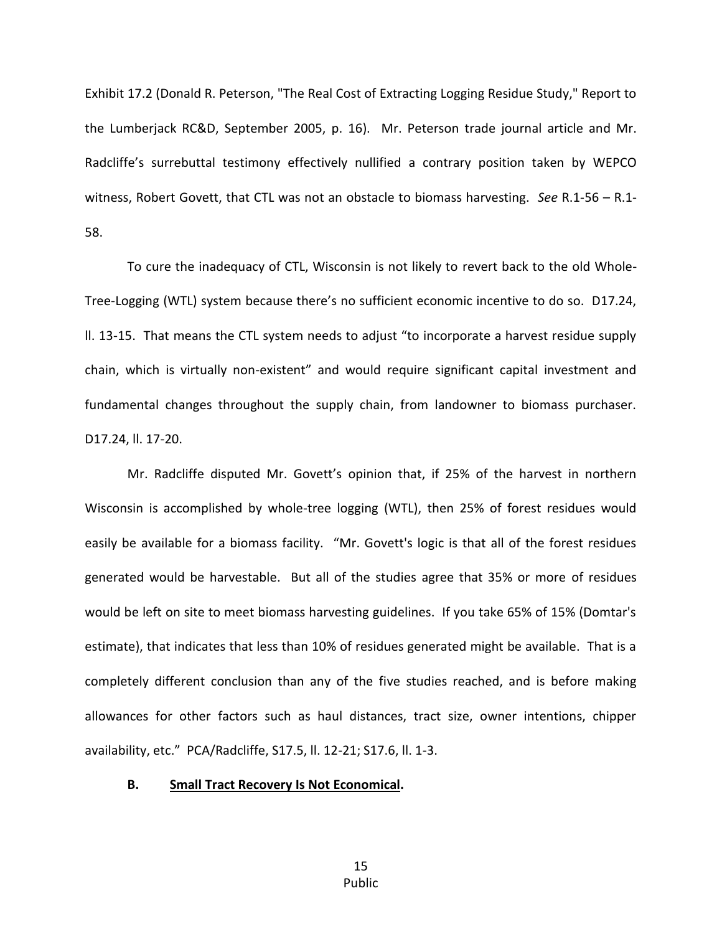Exhibit 17.2 (Donald R. Peterson, "The Real Cost of Extracting Logging Residue Study," Report to the Lumberjack RC&D, September 2005, p. 16). Mr. Peterson trade journal article and Mr. Radcliffe's surrebuttal testimony effectively nullified a contrary position taken by WEPCO witness, Robert Govett, that CTL was not an obstacle to biomass harvesting. *See* R.1-56 – R.1- 58.

To cure the inadequacy of CTL, Wisconsin is not likely to revert back to the old Whole-Tree-Logging (WTL) system because there's no sufficient economic incentive to do so. D17.24, ll. 13-15. That means the CTL system needs to adjust "to incorporate a harvest residue supply chain, which is virtually non-existent" and would require significant capital investment and fundamental changes throughout the supply chain, from landowner to biomass purchaser. D17.24, ll. 17-20.

Mr. Radcliffe disputed Mr. Govett's opinion that, if 25% of the harvest in northern Wisconsin is accomplished by whole-tree logging (WTL), then 25% of forest residues would easily be available for a biomass facility. "Mr. Govett's logic is that all of the forest residues generated would be harvestable. But all of the studies agree that 35% or more of residues would be left on site to meet biomass harvesting guidelines. If you take 65% of 15% (Domtar's estimate), that indicates that less than 10% of residues generated might be available. That is a completely different conclusion than any of the five studies reached, and is before making allowances for other factors such as haul distances, tract size, owner intentions, chipper availability, etc." PCA/Radcliffe, S17.5, ll. 12-21; S17.6, ll. 1-3.

#### **B. Small Tract Recovery Is Not Economical.**

15 Public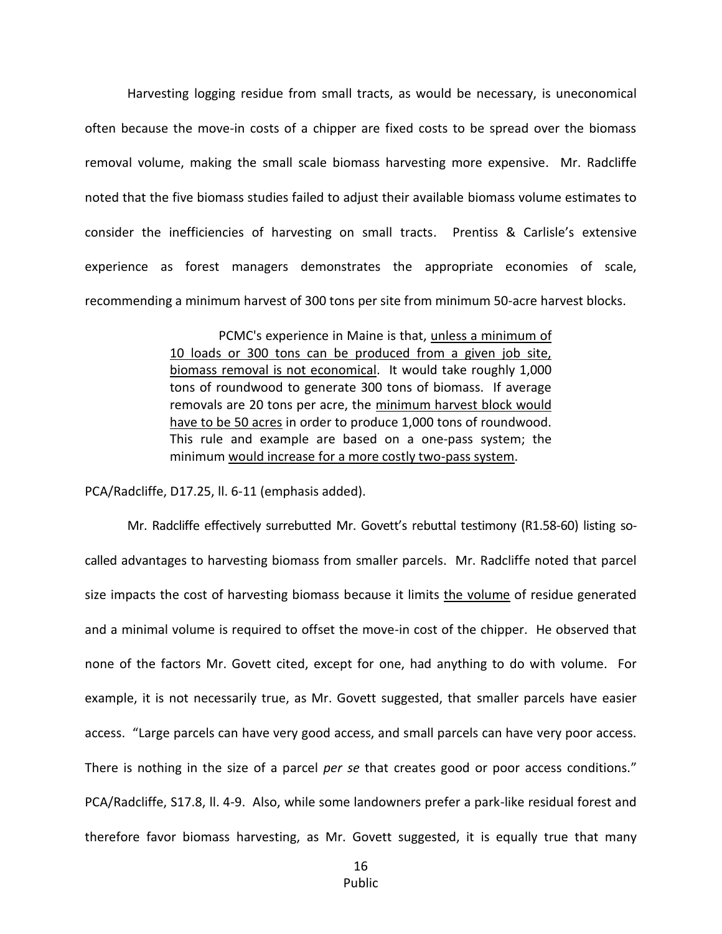Harvesting logging residue from small tracts, as would be necessary, is uneconomical often because the move-in costs of a chipper are fixed costs to be spread over the biomass removal volume, making the small scale biomass harvesting more expensive. Mr. Radcliffe noted that the five biomass studies failed to adjust their available biomass volume estimates to consider the inefficiencies of harvesting on small tracts. Prentiss & Carlisle's extensive experience as forest managers demonstrates the appropriate economies of scale, recommending a minimum harvest of 300 tons per site from minimum 50-acre harvest blocks.

> PCMC's experience in Maine is that, unless a minimum of 10 loads or 300 tons can be produced from a given job site, biomass removal is not economical. It would take roughly 1,000 tons of roundwood to generate 300 tons of biomass. If average removals are 20 tons per acre, the minimum harvest block would have to be 50 acres in order to produce 1,000 tons of roundwood. This rule and example are based on a one-pass system; the minimum would increase for a more costly two-pass system.

PCA/Radcliffe, D17.25, ll. 6-11 (emphasis added).

Mr. Radcliffe effectively surrebutted Mr. Govett's rebuttal testimony (R1.58-60) listing socalled advantages to harvesting biomass from smaller parcels. Mr. Radcliffe noted that parcel size impacts the cost of harvesting biomass because it limits the volume of residue generated and a minimal volume is required to offset the move-in cost of the chipper. He observed that none of the factors Mr. Govett cited, except for one, had anything to do with volume. For example, it is not necessarily true, as Mr. Govett suggested, that smaller parcels have easier access. "Large parcels can have very good access, and small parcels can have very poor access. There is nothing in the size of a parcel *per se* that creates good or poor access conditions." PCA/Radcliffe, S17.8, ll. 4-9. Also, while some landowners prefer a park-like residual forest and therefore favor biomass harvesting, as Mr. Govett suggested, it is equally true that many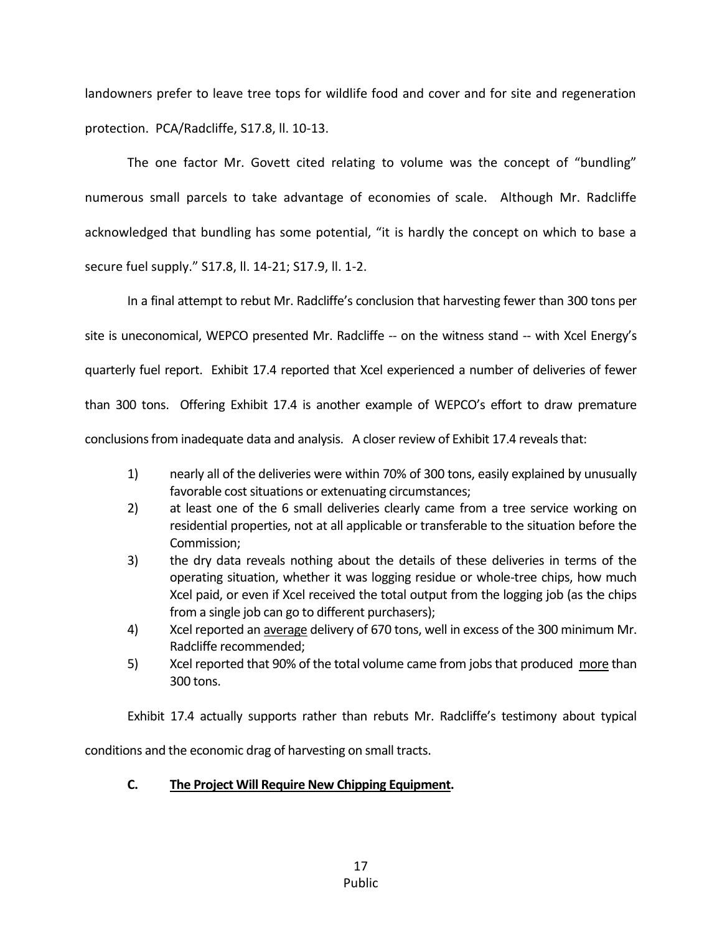landowners prefer to leave tree tops for wildlife food and cover and for site and regeneration protection. PCA/Radcliffe, S17.8, ll. 10-13.

The one factor Mr. Govett cited relating to volume was the concept of "bundling" numerous small parcels to take advantage of economies of scale. Although Mr. Radcliffe acknowledged that bundling has some potential, "it is hardly the concept on which to base a secure fuel supply." S17.8, ll. 14-21; S17.9, ll. 1-2.

In a final attempt to rebut Mr. Radcliffe's conclusion that harvesting fewer than 300 tons per site is uneconomical, WEPCO presented Mr. Radcliffe -- on the witness stand -- with Xcel Energy's quarterly fuel report. Exhibit 17.4 reported that Xcel experienced a number of deliveries of fewer than 300 tons. Offering Exhibit 17.4 is another example of WEPCO's effort to draw premature conclusions from inadequate data and analysis. A closer review of Exhibit 17.4 reveals that:

- 1) nearly all of the deliveries were within 70% of 300 tons, easily explained by unusually favorable cost situations or extenuating circumstances;
- 2) at least one of the 6 small deliveries clearly came from a tree service working on residential properties, not at all applicable or transferable to the situation before the Commission;
- 3) the dry data reveals nothing about the details of these deliveries in terms of the operating situation, whether it was logging residue or whole-tree chips, how much Xcel paid, or even if Xcel received the total output from the logging job (as the chips from a single job can go to different purchasers);
- 4) Xcel reported an average delivery of 670 tons, well in excess of the 300 minimum Mr. Radcliffe recommended;
- 5) Xcel reported that 90% of the total volume came from jobs that produced more than 300 tons.

Exhibit 17.4 actually supports rather than rebuts Mr. Radcliffe's testimony about typical

conditions and the economic drag of harvesting on small tracts.

# **C. The Project Will Require New Chipping Equipment.**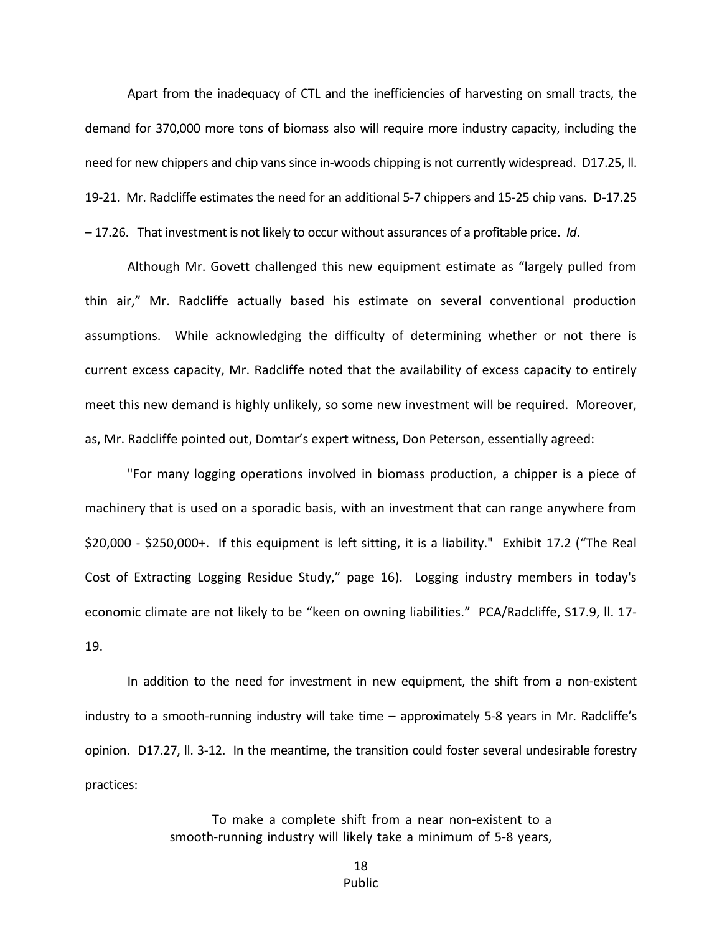Apart from the inadequacy of CTL and the inefficiencies of harvesting on small tracts, the demand for 370,000 more tons of biomass also will require more industry capacity, including the need for new chippers and chip vans since in-woods chipping is not currently widespread. D17.25, ll. 19-21. Mr. Radcliffe estimates the need for an additional 5-7 chippers and 15-25 chip vans. D-17.25 – 17.26. That investment is not likely to occur without assurances of a profitable price. *Id*.

Although Mr. Govett challenged this new equipment estimate as "largely pulled from thin air," Mr. Radcliffe actually based his estimate on several conventional production assumptions. While acknowledging the difficulty of determining whether or not there is current excess capacity, Mr. Radcliffe noted that the availability of excess capacity to entirely meet this new demand is highly unlikely, so some new investment will be required. Moreover, as, Mr. Radcliffe pointed out, Domtar's expert witness, Don Peterson, essentially agreed:

"For many logging operations involved in biomass production, a chipper is a piece of machinery that is used on a sporadic basis, with an investment that can range anywhere from \$20,000 - \$250,000+. If this equipment is left sitting, it is a liability." Exhibit 17.2 ("The Real Cost of Extracting Logging Residue Study," page 16). Logging industry members in today's economic climate are not likely to be "keen on owning liabilities." PCA/Radcliffe, S17.9, ll. 17- 19.

In addition to the need for investment in new equipment, the shift from a non-existent industry to a smooth-running industry will take time – approximately 5-8 years in Mr. Radcliffe's opinion. D17.27, ll. 3-12. In the meantime, the transition could foster several undesirable forestry practices:

> To make a complete shift from a near non-existent to a smooth-running industry will likely take a minimum of 5-8 years,

> > 18 Public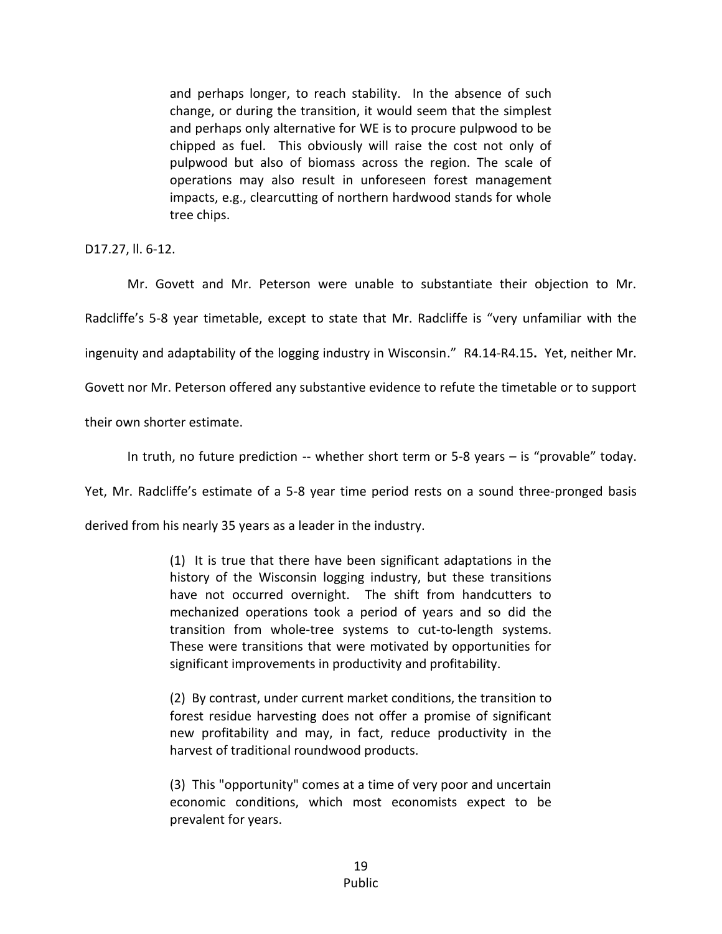and perhaps longer, to reach stability. In the absence of such change, or during the transition, it would seem that the simplest and perhaps only alternative for WE is to procure pulpwood to be chipped as fuel. This obviously will raise the cost not only of pulpwood but also of biomass across the region. The scale of operations may also result in unforeseen forest management impacts, e.g., clearcutting of northern hardwood stands for whole tree chips.

D17.27, ll. 6-12.

Mr. Govett and Mr. Peterson were unable to substantiate their objection to Mr. Radcliffe's 5-8 year timetable, except to state that Mr. Radcliffe is "very unfamiliar with the ingenuity and adaptability of the logging industry in Wisconsin." R4.14-R4.15**.** Yet, neither Mr. Govett nor Mr. Peterson offered any substantive evidence to refute the timetable or to support

their own shorter estimate.

In truth, no future prediction -- whether short term or 5-8 years – is "provable" today.

Yet, Mr. Radcliffe's estimate of a 5-8 year time period rests on a sound three-pronged basis

derived from his nearly 35 years as a leader in the industry.

(1) It is true that there have been significant adaptations in the history of the Wisconsin logging industry, but these transitions have not occurred overnight. The shift from handcutters to mechanized operations took a period of years and so did the transition from whole-tree systems to cut-to-length systems. These were transitions that were motivated by opportunities for significant improvements in productivity and profitability.

(2) By contrast, under current market conditions, the transition to forest residue harvesting does not offer a promise of significant new profitability and may, in fact, reduce productivity in the harvest of traditional roundwood products.

(3) This "opportunity" comes at a time of very poor and uncertain economic conditions, which most economists expect to be prevalent for years.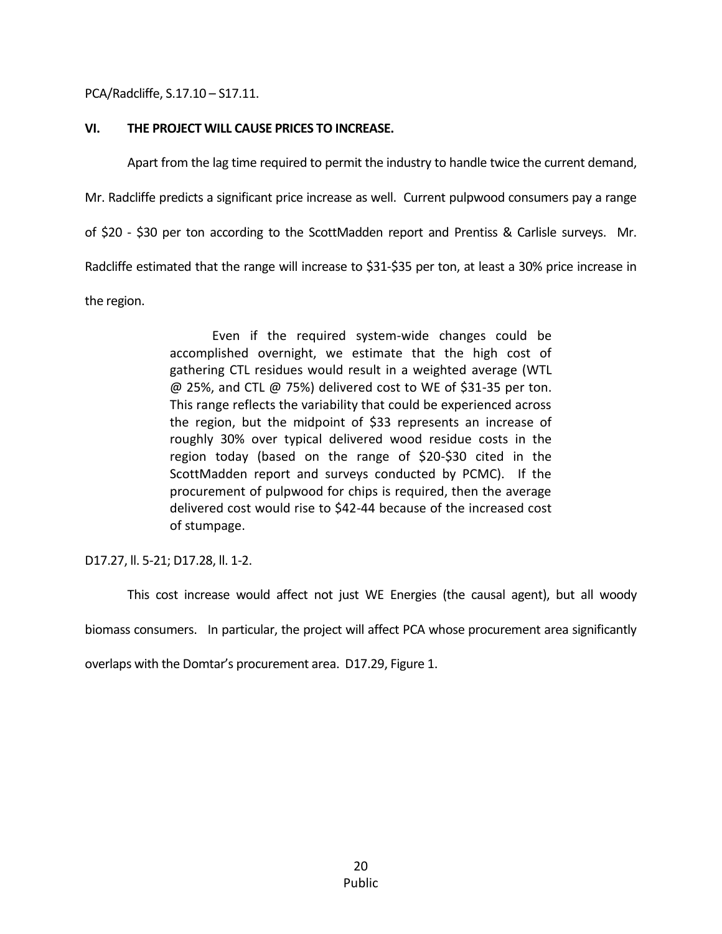PCA/Radcliffe, S.17.10 – S17.11.

### **VI. THE PROJECT WILL CAUSE PRICES TO INCREASE.**

Apart from the lag time required to permit the industry to handle twice the current demand,

Mr. Radcliffe predicts a significant price increase as well. Current pulpwood consumers pay a range

of \$20 - \$30 per ton according to the ScottMadden report and Prentiss & Carlisle surveys. Mr.

Radcliffe estimated that the range will increase to \$31-\$35 per ton, at least a 30% price increase in

the region.

Even if the required system-wide changes could be accomplished overnight, we estimate that the high cost of gathering CTL residues would result in a weighted average (WTL @ 25%, and CTL @ 75%) delivered cost to WE of \$31-35 per ton. This range reflects the variability that could be experienced across the region, but the midpoint of \$33 represents an increase of roughly 30% over typical delivered wood residue costs in the region today (based on the range of \$20-\$30 cited in the ScottMadden report and surveys conducted by PCMC). If the procurement of pulpwood for chips is required, then the average delivered cost would rise to \$42-44 because of the increased cost of stumpage.

D17.27, ll. 5-21; D17.28, ll. 1-2.

This cost increase would affect not just WE Energies (the causal agent), but all woody biomass consumers. In particular, the project will affect PCA whose procurement area significantly

overlaps with the Domtar's procurement area. D17.29, Figure 1.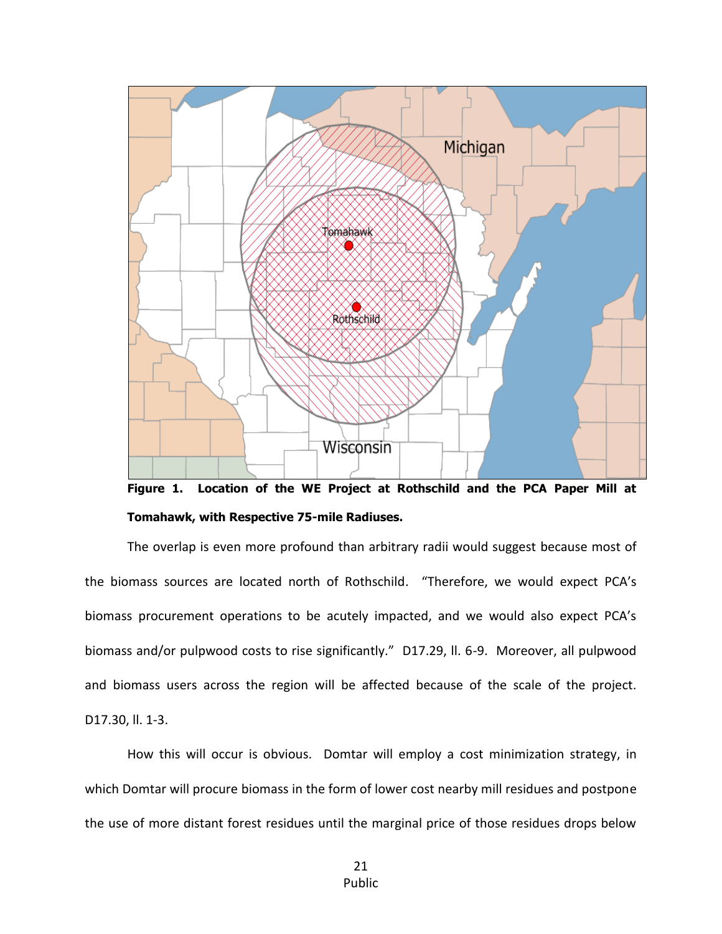

**Figure 1. Location of the WE Project at Rothschild and the PCA Paper Mill at Tomahawk, with Respective 75-mile Radiuses.**

The overlap is even more profound than arbitrary radii would suggest because most of the biomass sources are located north of Rothschild. "Therefore, we would expect PCA's biomass procurement operations to be acutely impacted, and we would also expect PCA's biomass and/or pulpwood costs to rise significantly." D17.29, ll. 6-9. Moreover, all pulpwood and biomass users across the region will be affected because of the scale of the project. D17.30, ll. 1-3.

How this will occur is obvious. Domtar will employ a cost minimization strategy, in which Domtar will procure biomass in the form of lower cost nearby mill residues and postpone the use of more distant forest residues until the marginal price of those residues drops below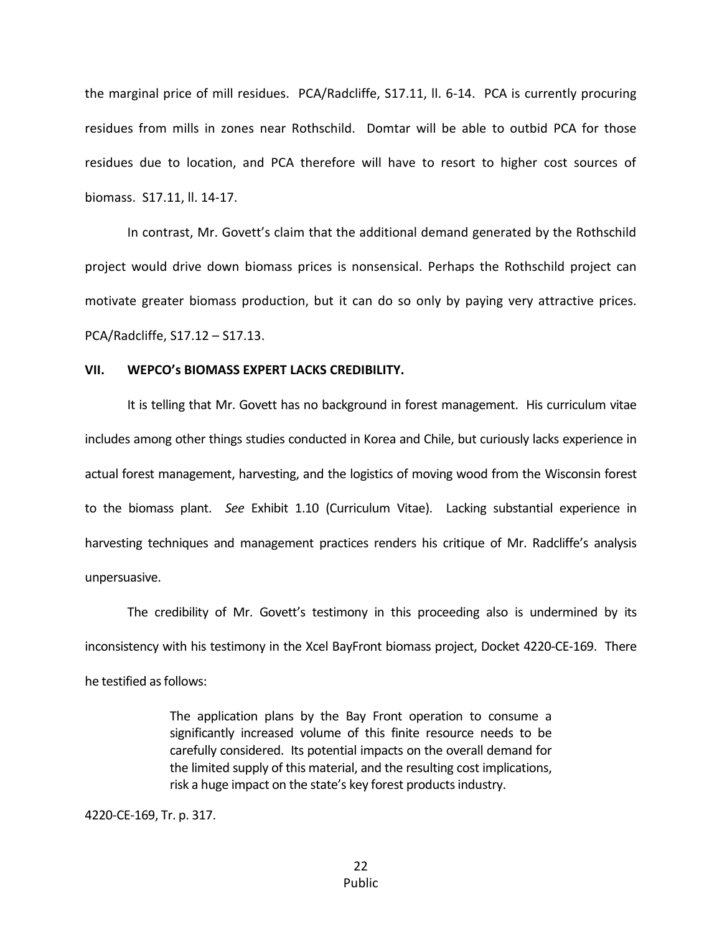the marginal price of mill residues. PCA/Radcliffe, S17.11, ll. 6-14. PCA is currently procuring residues from mills in zones near Rothschild. Domtar will be able to outbid PCA for those residues due to location, and PCA therefore will have to resort to higher cost sources of biomass. S17.11, ll. 14-17.

In contrast, Mr. Govett's claim that the additional demand generated by the Rothschild project would drive down biomass prices is nonsensical. Perhaps the Rothschild project can motivate greater biomass production, but it can do so only by paying very attractive prices. PCA/Radcliffe, S17.12 – S17.13.

#### **VII. WEPCO's BIOMASS EXPERT LACKS CREDIBILITY.**

It is telling that Mr. Govett has no background in forest management. His curriculum vitae includes among other things studies conducted in Korea and Chile, but curiously lacks experience in actual forest management, harvesting, and the logistics of moving wood from the Wisconsin forest to the biomass plant. *See* Exhibit 1.10 (Curriculum Vitae). Lacking substantial experience in harvesting techniques and management practices renders his critique of Mr. Radcliffe's analysis unpersuasive.

The credibility of Mr. Govett's testimony in this proceeding also is undermined by its inconsistency with his testimony in the Xcel BayFront biomass project, Docket 4220-CE-169. There he testified as follows:

> The application plans by the Bay Front operation to consume a significantly increased volume of this finite resource needs to be carefully considered. Its potential impacts on the overall demand for the limited supply of this material, and the resulting cost implications, risk a huge impact on the state's key forest products industry.

4220-CE-169, Tr. p. 317.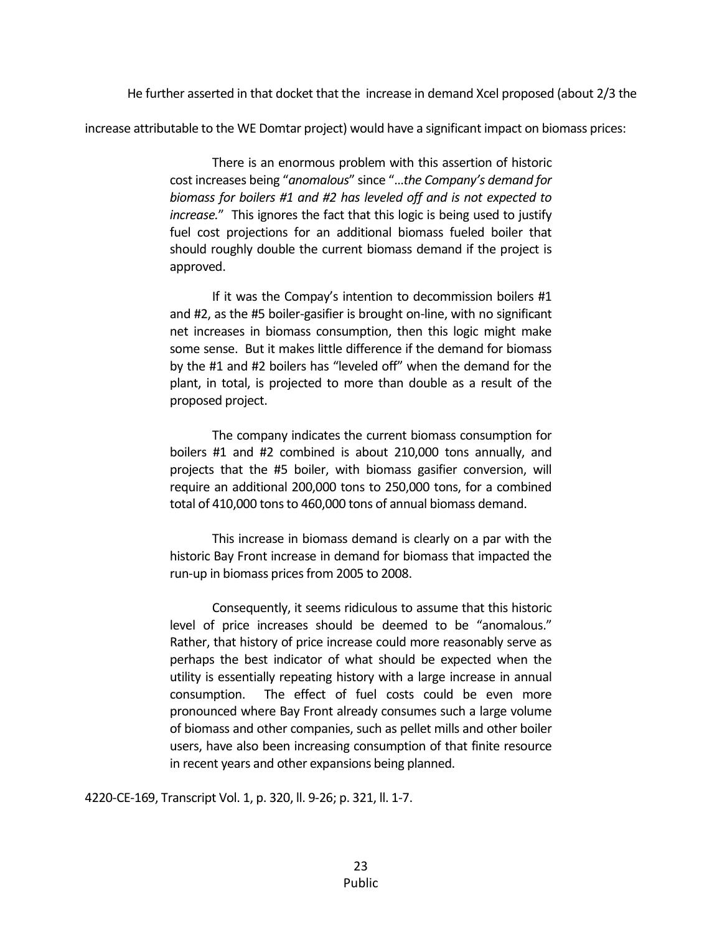He further asserted in that docket that the increase in demand Xcel proposed (about 2/3 the

increase attributable to the WE Domtar project) would have a significant impact on biomass prices:

There is an enormous problem with this assertion of historic cost increases being "*anomalous*" since "…*the Company's demand for biomass for boilers #1 and #2 has leveled off and is not expected to increase.*" This ignores the fact that this logic is being used to justify fuel cost projections for an additional biomass fueled boiler that should roughly double the current biomass demand if the project is approved.

If it was the Compay's intention to decommission boilers #1 and #2, as the #5 boiler-gasifier is brought on-line, with no significant net increases in biomass consumption, then this logic might make some sense. But it makes little difference if the demand for biomass by the #1 and #2 boilers has "leveled off" when the demand for the plant, in total, is projected to more than double as a result of the proposed project.

The company indicates the current biomass consumption for boilers #1 and #2 combined is about 210,000 tons annually, and projects that the #5 boiler, with biomass gasifier conversion, will require an additional 200,000 tons to 250,000 tons, for a combined total of 410,000 tons to 460,000 tons of annual biomass demand.

This increase in biomass demand is clearly on a par with the historic Bay Front increase in demand for biomass that impacted the run-up in biomass prices from 2005 to 2008.

Consequently, it seems ridiculous to assume that this historic level of price increases should be deemed to be "anomalous." Rather, that history of price increase could more reasonably serve as perhaps the best indicator of what should be expected when the utility is essentially repeating history with a large increase in annual consumption. The effect of fuel costs could be even more pronounced where Bay Front already consumes such a large volume of biomass and other companies, such as pellet mills and other boiler users, have also been increasing consumption of that finite resource in recent years and other expansions being planned.

4220-CE-169, Transcript Vol. 1, p. 320, ll. 9-26; p. 321, ll. 1-7.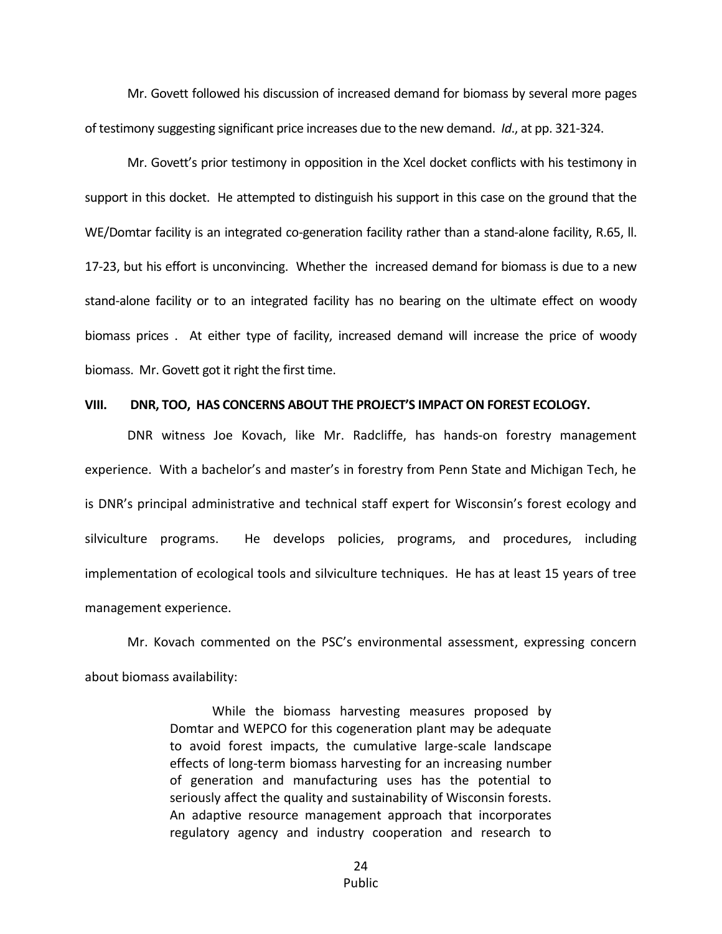Mr. Govett followed his discussion of increased demand for biomass by several more pages of testimony suggesting significant price increases due to the new demand. *Id*., at pp. 321-324.

Mr. Govett's prior testimony in opposition in the Xcel docket conflicts with his testimony in support in this docket. He attempted to distinguish his support in this case on the ground that the WE/Domtar facility is an integrated co-generation facility rather than a stand-alone facility, R.65, ll. 17-23, but his effort is unconvincing. Whether the increased demand for biomass is due to a new stand-alone facility or to an integrated facility has no bearing on the ultimate effect on woody biomass prices . At either type of facility, increased demand will increase the price of woody biomass. Mr. Govett got it right the first time.

#### **VIII. DNR, TOO, HAS CONCERNS ABOUT THE PROJECT'S IMPACT ON FOREST ECOLOGY.**

DNR witness Joe Kovach, like Mr. Radcliffe, has hands-on forestry management experience. With a bachelor's and master's in forestry from Penn State and Michigan Tech, he is DNR's principal administrative and technical staff expert for Wisconsin's forest ecology and silviculture programs. He develops policies, programs, and procedures, including implementation of ecological tools and silviculture techniques. He has at least 15 years of tree management experience.

Mr. Kovach commented on the PSC's environmental assessment, expressing concern about biomass availability:

> While the biomass harvesting measures proposed by Domtar and WEPCO for this cogeneration plant may be adequate to avoid forest impacts, the cumulative large-scale landscape effects of long-term biomass harvesting for an increasing number of generation and manufacturing uses has the potential to seriously affect the quality and sustainability of Wisconsin forests. An adaptive resource management approach that incorporates regulatory agency and industry cooperation and research to

> > 24 Public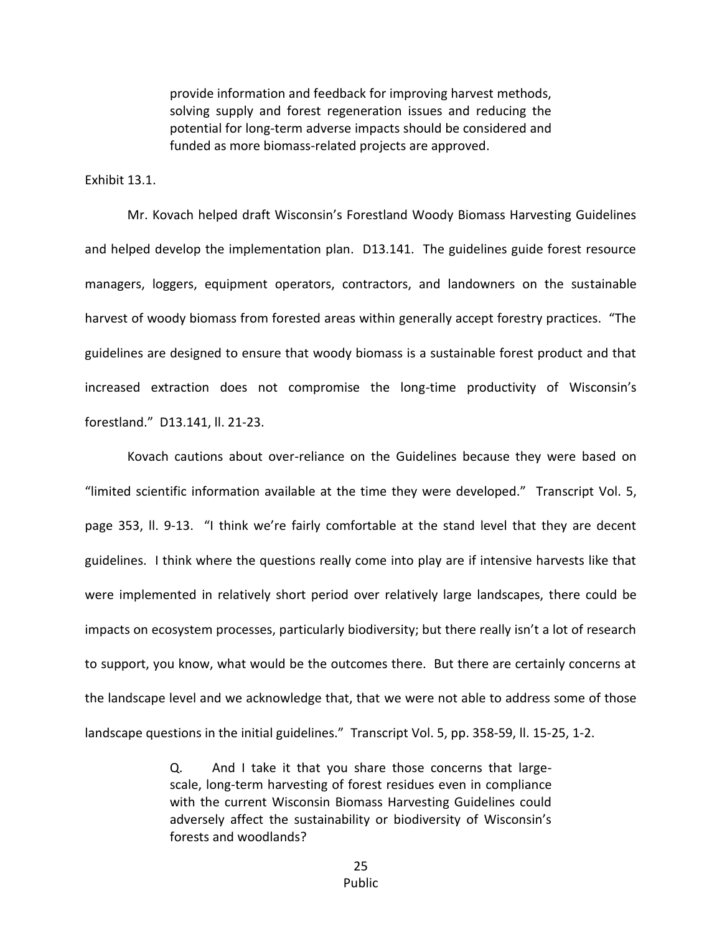provide information and feedback for improving harvest methods, solving supply and forest regeneration issues and reducing the potential for long-term adverse impacts should be considered and funded as more biomass-related projects are approved.

#### Exhibit 13.1.

Mr. Kovach helped draft Wisconsin's Forestland Woody Biomass Harvesting Guidelines and helped develop the implementation plan. D13.141. The guidelines guide forest resource managers, loggers, equipment operators, contractors, and landowners on the sustainable harvest of woody biomass from forested areas within generally accept forestry practices. "The guidelines are designed to ensure that woody biomass is a sustainable forest product and that increased extraction does not compromise the long-time productivity of Wisconsin's forestland." D13.141, ll. 21-23.

Kovach cautions about over-reliance on the Guidelines because they were based on "limited scientific information available at the time they were developed." Transcript Vol. 5, page 353, ll. 9-13. "I think we're fairly comfortable at the stand level that they are decent guidelines. I think where the questions really come into play are if intensive harvests like that were implemented in relatively short period over relatively large landscapes, there could be impacts on ecosystem processes, particularly biodiversity; but there really isn't a lot of research to support, you know, what would be the outcomes there. But there are certainly concerns at the landscape level and we acknowledge that, that we were not able to address some of those landscape questions in the initial guidelines." Transcript Vol. 5, pp. 358-59, ll. 15-25, 1-2.

> Q. And I take it that you share those concerns that largescale, long-term harvesting of forest residues even in compliance with the current Wisconsin Biomass Harvesting Guidelines could adversely affect the sustainability or biodiversity of Wisconsin's forests and woodlands?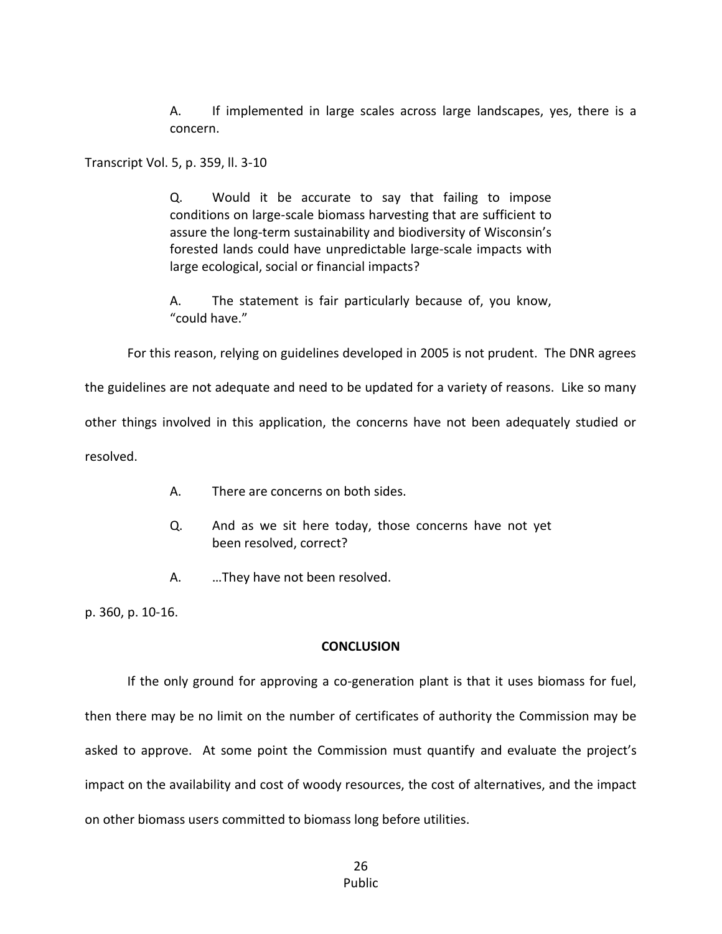A. If implemented in large scales across large landscapes, yes, there is a concern.

Transcript Vol. 5, p. 359, ll. 3-10

Q. Would it be accurate to say that failing to impose conditions on large-scale biomass harvesting that are sufficient to assure the long-term sustainability and biodiversity of Wisconsin's forested lands could have unpredictable large-scale impacts with large ecological, social or financial impacts?

A. The statement is fair particularly because of, you know, "could have."

For this reason, relying on guidelines developed in 2005 is not prudent. The DNR agrees

the guidelines are not adequate and need to be updated for a variety of reasons. Like so many

other things involved in this application, the concerns have not been adequately studied or

resolved.

- A. There are concerns on both sides.
- Q. And as we sit here today, those concerns have not yet been resolved, correct?
- A. …They have not been resolved.

p. 360, p. 10-16.

### **CONCLUSION**

If the only ground for approving a co-generation plant is that it uses biomass for fuel, then there may be no limit on the number of certificates of authority the Commission may be asked to approve. At some point the Commission must quantify and evaluate the project's impact on the availability and cost of woody resources, the cost of alternatives, and the impact on other biomass users committed to biomass long before utilities.